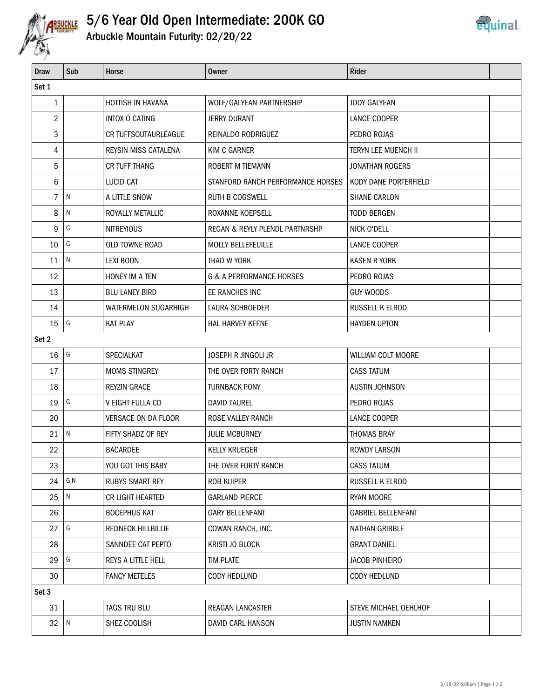

## 5/6 Year Old Open Intermediate: 200K GO



| <b>Draw</b>    | Sub       | Horse                       | <b>Owner</b>                        | Rider                      |  |  |
|----------------|-----------|-----------------------------|-------------------------------------|----------------------------|--|--|
| Set 1          |           |                             |                                     |                            |  |  |
| $\mathbf{1}$   |           | HOTTISH IN HAVANA           | WOLF/GALYEAN PARTNERSHIP            | <b>JODY GALYEAN</b>        |  |  |
| $\overline{2}$ |           | <b>INTOX O CATING</b>       | JERRY DURANT                        | LANCE COOPER               |  |  |
| 3              |           | CR TUFFSOUTAURLEAGUE        | REINALDO RODRIGUEZ                  | PEDRO ROJAS                |  |  |
| 4              |           | <b>REYSIN MISS CATALENA</b> | KIM C GARNER                        | <b>TERYN LEE MUENCH II</b> |  |  |
| 5              |           | CR TUFF THANG               | ROBERT M TIEMANN                    | <b>JONATHAN ROGERS</b>     |  |  |
| 6              |           | LUCID CAT                   | STANFORD RANCH PERFORMANCE HORSES   | KODY DANE PORTERFIELD      |  |  |
| 7              | N         | A LITTLE SNOW               | <b>RUTH B COGSWELL</b>              | <b>SHANE CARLON</b>        |  |  |
| 8              | ${\sf N}$ | ROYALLY METALLIC            | ROXANNE KOEPSELL                    | <b>TODD BERGEN</b>         |  |  |
| 9              | G         | <b>NITREYIOUS</b>           | REGAN & REYLY PLENDL PARTNRSHP      | NICK O'DELL                |  |  |
| 10             | G         | OLD TOWNE ROAD              | MOLLY BELLEFEUILLE                  | LANCE COOPER               |  |  |
| 11             | N         | <b>LEXI BOON</b>            | THAD W YORK                         | <b>KASEN R YORK</b>        |  |  |
| 12             |           | <b>HONEY IM A TEN</b>       | <b>G &amp; A PERFORMANCE HORSES</b> | PEDRO ROJAS                |  |  |
| 13             |           | <b>BLU LANEY BIRD</b>       | EE RANCHES INC                      | <b>GUY WOODS</b>           |  |  |
| 14             |           | WATERMELON SUGARHIGH        | LAURA SCHROEDER                     | RUSSELL K ELROD            |  |  |
| 15             | G         | <b>KAT PLAY</b>             | HAL HARVEY KEENE                    | <b>HAYDEN UPTON</b>        |  |  |
| Set 2          |           |                             |                                     |                            |  |  |
| 16             | G         | SPECIALKAT                  | JOSEPH R JINGOLI JR                 | WILLIAM COLT MOORE         |  |  |
| 17             |           | <b>MOMS STINGREY</b>        | THE OVER FORTY RANCH                | <b>CASS TATUM</b>          |  |  |
| 18             |           | <b>REYZIN GRACE</b>         | <b>TURNBACK PONY</b>                | <b>AUSTIN JOHNSON</b>      |  |  |
| 19             | G         | V EIGHT FULLA CD            | <b>DAVID TAUREL</b>                 | PEDRO ROJAS                |  |  |
| 20             |           | <b>VERSACE ON DA FLOOR</b>  | ROSE VALLEY RANCH                   | LANCE COOPER               |  |  |
| 21             | N         | FIFTY SHADZ OF REY          | <b>JULIE MCBURNEY</b>               | <b>THOMAS BRAY</b>         |  |  |
| 22             |           | <b>BACARDEE</b>             | <b>KELLY KRUEGER</b>                | <b>ROWDY LARSON</b>        |  |  |
| 23             |           | YOU GOT THIS BABY           | THE OVER FORTY RANCH                | <b>CASS TATUM</b>          |  |  |
| 24             | G, N      | <b>RUBYS SMART REY</b>      | <b>ROB KUIPER</b>                   | RUSSELL K ELROD            |  |  |
| 25             | N         | CR LIGHT HEARTED            | <b>GARLAND PIERCE</b>               | <b>RYAN MOORE</b>          |  |  |
| 26             |           | <b>BOCEPHUS KAT</b>         | <b>GARY BELLENFANT</b>              | <b>GABRIEL BELLENFANT</b>  |  |  |
| 27             | G         | <b>REDNECK HILLBILLIE</b>   | COWAN RANCH, INC.                   | NATHAN GRIBBLE             |  |  |
| 28             |           | SANNDEE CAT PEPTO           | KRISTI JO BLOCK                     | <b>GRANT DANIEL</b>        |  |  |
| 29             | G         | REYS A LITTLE HELL          | <b>TIM PLATE</b>                    | <b>JACOB PINHEIRO</b>      |  |  |
| 30             |           | <b>FANCY METELES</b>        | <b>CODY HEDLUND</b>                 | <b>CODY HEDLUND</b>        |  |  |
| Set 3          |           |                             |                                     |                            |  |  |
| 31             |           | TAGS TRU BLU                | REAGAN LANCASTER                    | STEVE MICHAEL OEHLHOF      |  |  |
| 32             | N         | SHEZ COOLISH                | DAVID CARL HANSON                   | <b>JUSTIN NAMKEN</b>       |  |  |
|                |           |                             |                                     |                            |  |  |